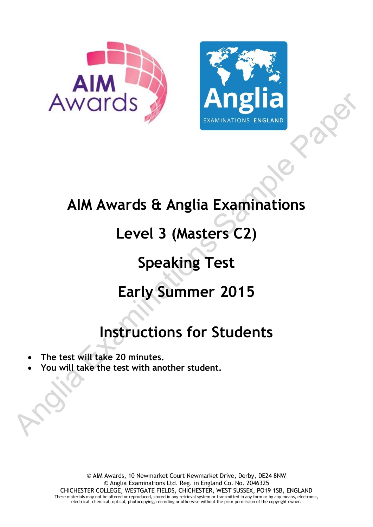



## **AIM Awards & Anglia Examinations**

# **Level 3 (Masters C2)**

# **Speaking Test**

# **Early Summer 2015**

# **Instructions for Students**

- **The test will take 20 minutes.**
- **You will take the test with another student.**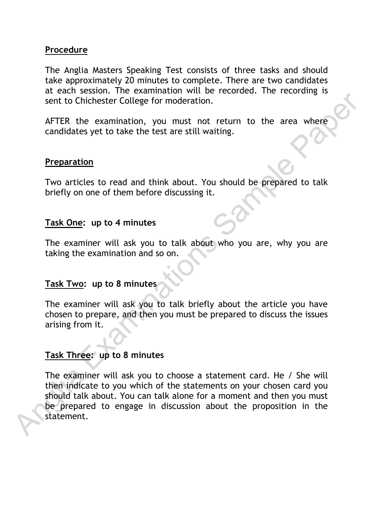### **Procedure**

The Anglia Masters Speaking Test consists of three tasks and should take approximately 20 minutes to complete. There are two candidates at each session. The examination will be recorded. The recording is sent to Chichester College for moderation.

AFTER the examination, you must not return to the area where candidates yet to take the test are still waiting.

### **Preparation**

Two articles to read and think about. You should be prepared to talk briefly on one of them before discussing it.

### **Task One: up to 4 minutes**

The examiner will ask you to talk about who you are, why you are taking the examination and so on.

### **Task Two: up to 8 minutes**

The examiner will ask you to talk briefly about the article you have chosen to prepare, and then you must be prepared to discuss the issues arising from it.

## **Task Three: up to 8 minutes**

The examiner will ask you to choose a statement card. He / She will then indicate to you which of the statements on your chosen card you should talk about. You can talk alone for a moment and then you must be prepared to engage in discussion about the proposition in the statement. Somethic College for moderation.<br>
Sent to Chichester College for moderation.<br>
AFTER the examination, you must not return to the area where<br>
candidates yet to take the test are still waiting.<br>
Preparation<br>
Two articles to r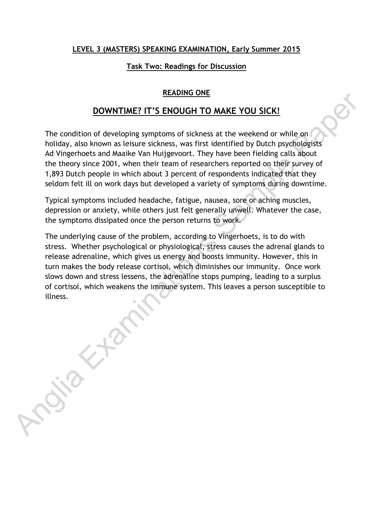#### **LEVEL 3 (MASTERS) SPEAKING EXAMINATION, Early Summer 2015**

#### **Task Two: Readings for Discussion**

### **READING ONE**

### **DOWNTIME? IT'S ENOUGH TO MAKE YOU SICK!**

The condition of developing symptoms of sickness at the weekend or while on holiday, also known as leisure sickness, was first identified by Dutch psychologists Ad Vingerhoets and Maaike Van Huijgevoort. They have been fielding calls about the theory since 2001, when their team of researchers reported on their survey of 1,893 Dutch people in which about 3 percent of respondents indicated that they seldom felt ill on work days but developed a variety of symptoms during downtime.

Typical symptoms included headache, fatigue, nausea, sore or aching muscles, depression or anxiety, while others just felt generally unwell. Whatever the case, the symptoms dissipated once the person returns to work.

The underlying cause of the problem, according to Vingerhoets, is to do with stress. Whether psychological or physiological, stress causes the adrenal glands to release adrenaline, which gives us energy and boosts immunity. However, this in turn makes the body release cortisol, which diminishes our immunity. Once work slows down and stress lessens, the adrenaline stops pumping, leading to a surplus of cortisol, which weakens the immune system. This leaves a person susceptible to illness. **Examine Only THE CONSTRAINT CONSTRAINT**<br>
The condition of developing symptoms of sickness at the weekend or while on<br>
holiday, also known as letsure sickness, was first identified by Dutch psychologists<br>
Ad Vingehoets and